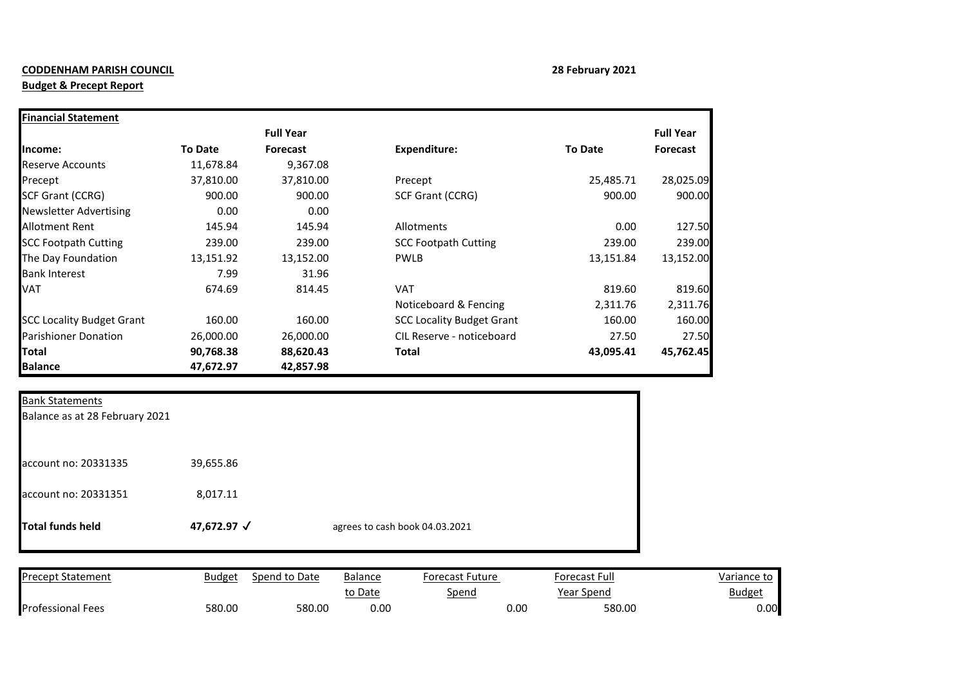## **CODDENHAM PARISH COUNCIL 28 February 2021**

## **Budget & Precept Report**

| <b>Financial Statement</b>       |                |                  |                                  |                |                  |
|----------------------------------|----------------|------------------|----------------------------------|----------------|------------------|
|                                  |                | <b>Full Year</b> |                                  |                | <b>Full Year</b> |
| Income:                          | <b>To Date</b> | <b>Forecast</b>  | <b>Expenditure:</b>              | <b>To Date</b> | Forecast         |
| <b>Reserve Accounts</b>          | 11,678.84      | 9,367.08         |                                  |                |                  |
| Precept                          | 37,810.00      | 37,810.00        | Precept                          | 25,485.71      | 28,025.09        |
| <b>SCF Grant (CCRG)</b>          | 900.00         | 900.00           | SCF Grant (CCRG)                 | 900.00         | 900.00           |
| <b>Newsletter Advertising</b>    | 0.00           | 0.00             |                                  |                |                  |
| Allotment Rent                   | 145.94         | 145.94           | <b>Allotments</b>                | 0.00           | 127.50           |
| <b>SCC Footpath Cutting</b>      | 239.00         | 239.00           | <b>SCC Footpath Cutting</b>      | 239.00         | 239.00           |
| The Day Foundation               | 13,151.92      | 13,152.00        | <b>PWLB</b>                      | 13,151.84      | 13,152.00        |
| <b>Bank Interest</b>             | 7.99           | 31.96            |                                  |                |                  |
| <b>VAT</b>                       | 674.69         | 814.45           | <b>VAT</b>                       | 819.60         | 819.60           |
|                                  |                |                  | Noticeboard & Fencing            | 2,311.76       | 2,311.76         |
| <b>SCC Locality Budget Grant</b> | 160.00         | 160.00           | <b>SCC Locality Budget Grant</b> | 160.00         | 160.00           |
| <b>Parishioner Donation</b>      | 26,000.00      | 26,000.00        | CIL Reserve - noticeboard        | 27.50          | 27.50            |
| Total                            | 90,768.38      | 88,620.43        | Total                            | 43,095.41      | 45,762.45        |
| <b>Balance</b>                   | 47,672.97      | 42,857.98        |                                  |                |                  |

| <b>Bank Statements</b><br>Balance as at 28 February 2021 |             |                                |
|----------------------------------------------------------|-------------|--------------------------------|
| account no: 20331335                                     | 39,655.86   |                                |
| account no: 20331351                                     | 8,017.11    |                                |
| Total funds held                                         | 47,672.97 √ | agrees to cash book 04.03.2021 |

| <b>Precept Statement</b> | <b>Budget</b> | Spend to Date | <b>Balance</b> | Forecast Future | Forecast Full  | Variance to   |
|--------------------------|---------------|---------------|----------------|-----------------|----------------|---------------|
|                          |               |               | to Date        | Spend           | Year Spend     | <u>Budget</u> |
| <b>Professional Fees</b> | 580.00        | 580.00        | 0.00           |                 | 580.00<br>0.00 | 0.00          |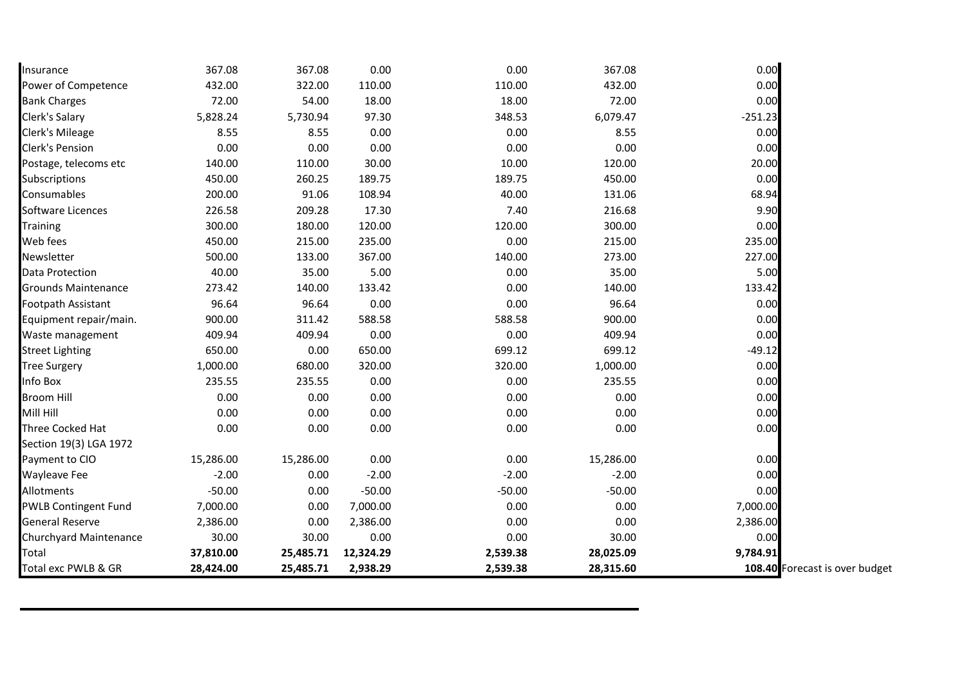| Insurance                   | 367.08    | 367.08    | 0.00      | 0.00     | 367.08    | 0.00      |                                |
|-----------------------------|-----------|-----------|-----------|----------|-----------|-----------|--------------------------------|
| Power of Competence         | 432.00    | 322.00    | 110.00    | 110.00   | 432.00    | 0.00      |                                |
| <b>Bank Charges</b>         | 72.00     | 54.00     | 18.00     | 18.00    | 72.00     | 0.00      |                                |
| Clerk's Salary              | 5,828.24  | 5,730.94  | 97.30     | 348.53   | 6,079.47  | $-251.23$ |                                |
| Clerk's Mileage             | 8.55      | 8.55      | 0.00      | 0.00     | 8.55      | 0.00      |                                |
| <b>Clerk's Pension</b>      | 0.00      | 0.00      | 0.00      | 0.00     | 0.00      | 0.00      |                                |
| Postage, telecoms etc       | 140.00    | 110.00    | 30.00     | 10.00    | 120.00    | 20.00     |                                |
| Subscriptions               | 450.00    | 260.25    | 189.75    | 189.75   | 450.00    | 0.00      |                                |
| Consumables                 | 200.00    | 91.06     | 108.94    | 40.00    | 131.06    | 68.94     |                                |
| Software Licences           | 226.58    | 209.28    | 17.30     | 7.40     | 216.68    | 9.90      |                                |
| <b>Training</b>             | 300.00    | 180.00    | 120.00    | 120.00   | 300.00    | 0.00      |                                |
| Web fees                    | 450.00    | 215.00    | 235.00    | 0.00     | 215.00    | 235.00    |                                |
| Newsletter                  | 500.00    | 133.00    | 367.00    | 140.00   | 273.00    | 227.00    |                                |
| Data Protection             | 40.00     | 35.00     | 5.00      | 0.00     | 35.00     | 5.00      |                                |
| <b>Grounds Maintenance</b>  | 273.42    | 140.00    | 133.42    | 0.00     | 140.00    | 133.42    |                                |
| Footpath Assistant          | 96.64     | 96.64     | 0.00      | 0.00     | 96.64     | 0.00      |                                |
| Equipment repair/main.      | 900.00    | 311.42    | 588.58    | 588.58   | 900.00    | 0.00      |                                |
| Waste management            | 409.94    | 409.94    | 0.00      | 0.00     | 409.94    | 0.00      |                                |
| <b>Street Lighting</b>      | 650.00    | 0.00      | 650.00    | 699.12   | 699.12    | $-49.12$  |                                |
| <b>Tree Surgery</b>         | 1,000.00  | 680.00    | 320.00    | 320.00   | 1,000.00  | 0.00      |                                |
| Info Box                    | 235.55    | 235.55    | 0.00      | 0.00     | 235.55    | 0.00      |                                |
| <b>Broom Hill</b>           | 0.00      | 0.00      | 0.00      | 0.00     | 0.00      | 0.00      |                                |
| Mill Hill                   | 0.00      | 0.00      | 0.00      | 0.00     | 0.00      | 0.00      |                                |
| Three Cocked Hat            | 0.00      | 0.00      | 0.00      | 0.00     | 0.00      | 0.00      |                                |
| Section 19(3) LGA 1972      |           |           |           |          |           |           |                                |
| Payment to CIO              | 15,286.00 | 15,286.00 | 0.00      | 0.00     | 15,286.00 | 0.00      |                                |
| <b>Wayleave Fee</b>         | $-2.00$   | 0.00      | $-2.00$   | $-2.00$  | $-2.00$   | 0.00      |                                |
| Allotments                  | $-50.00$  | 0.00      | $-50.00$  | $-50.00$ | $-50.00$  | 0.00      |                                |
| <b>PWLB Contingent Fund</b> | 7,000.00  | 0.00      | 7,000.00  | 0.00     | 0.00      | 7,000.00  |                                |
| <b>General Reserve</b>      | 2,386.00  | 0.00      | 2,386.00  | 0.00     | 0.00      | 2,386.00  |                                |
| Churchyard Maintenance      | 30.00     | 30.00     | 0.00      | 0.00     | 30.00     | 0.00      |                                |
| Total                       | 37,810.00 | 25,485.71 | 12,324.29 | 2,539.38 | 28,025.09 | 9,784.91  |                                |
| Total exc PWLB & GR         | 28,424.00 | 25,485.71 | 2,938.29  | 2,539.38 | 28,315.60 |           | 108.40 Forecast is over budget |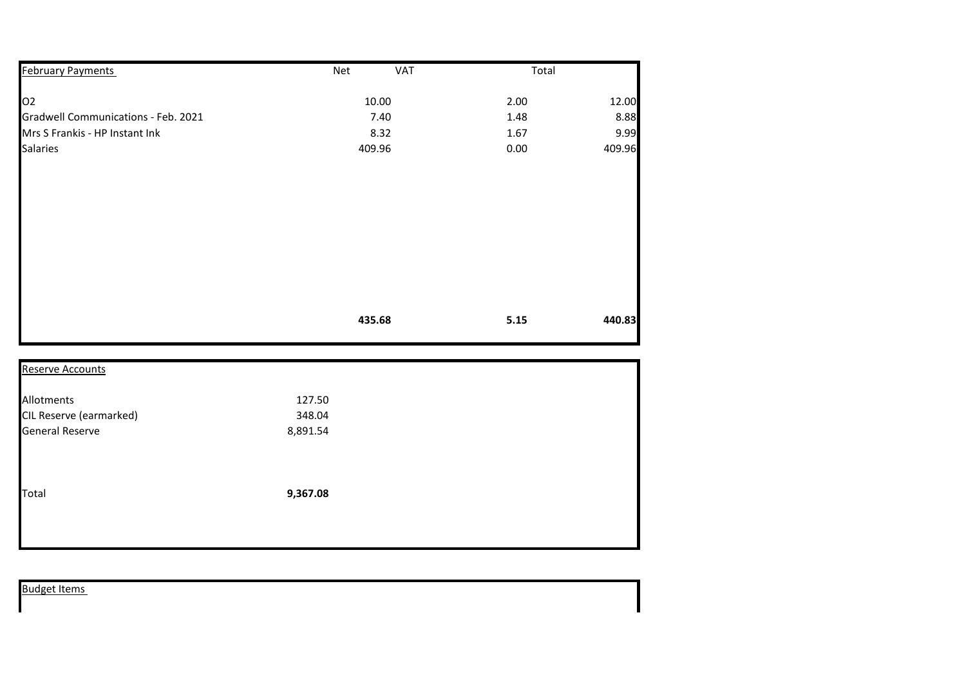| <b>February Payments</b>            | <b>VAT</b><br>Net | Total |        |
|-------------------------------------|-------------------|-------|--------|
| 02                                  | 10.00             | 2.00  | 12.00  |
| Gradwell Communications - Feb. 2021 | 7.40              | 1.48  | 8.88   |
| Mrs S Frankis - HP Instant Ink      | 8.32              | 1.67  | 9.99   |
| <b>Salaries</b>                     | 409.96            | 0.00  | 409.96 |
|                                     |                   |       |        |
|                                     | 435.68            | 5.15  | 440.83 |

| <b>Reserve Accounts</b> |          |  |
|-------------------------|----------|--|
| Allotments              | 127.50   |  |
| CIL Reserve (earmarked) | 348.04   |  |
| <b>General Reserve</b>  | 8,891.54 |  |
| Total                   | 9,367.08 |  |
|                         |          |  |

|--|